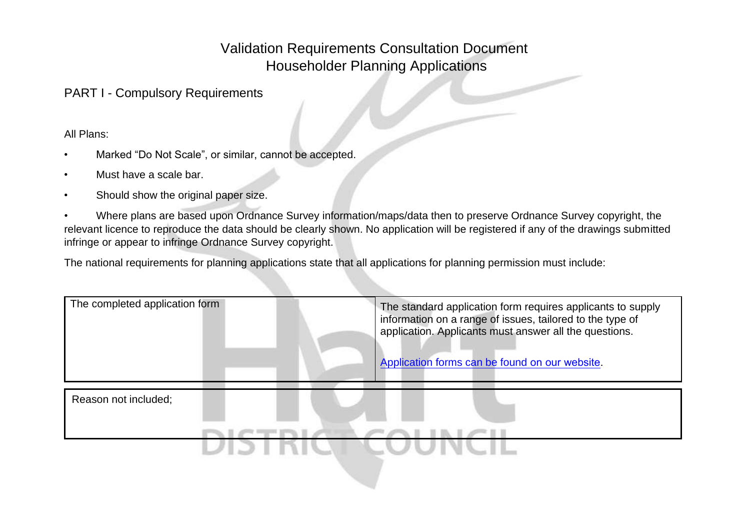## Validation Requirements Consultation Document Householder Planning Applications

PART I - Compulsory Requirements

All Plans:

- Marked "Do Not Scale", or similar, cannot be accepted.
- Must have a scale bar.
- Should show the original paper size.

 • Where plans are based upon Ordnance Survey information/maps/data then to preserve Ordnance Survey copyright, the relevant licence to reproduce the data should be clearly shown. No application will be registered if any of the drawings submitted infringe or appear to infringe Ordnance Survey copyright.

The national requirements for planning applications state that all applications for planning permission must include:

| The completed application form | The standard application form requires applicants to supply<br>information on a range of issues, tailored to the type of<br>application. Applicants must answer all the questions.<br>Application forms can be found on our website. |
|--------------------------------|--------------------------------------------------------------------------------------------------------------------------------------------------------------------------------------------------------------------------------------|
| Reason not included;           |                                                                                                                                                                                                                                      |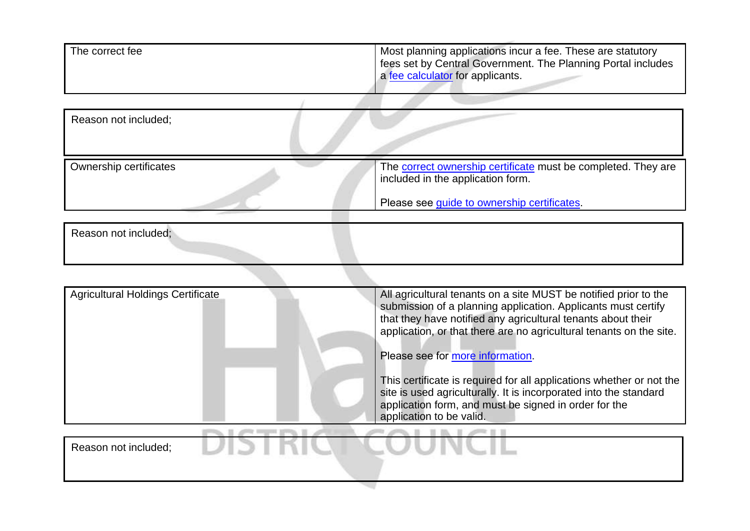| The correct fee               | Most planning applications incur a fee. These are statutory<br>fees set by Central Government. The Planning Portal includes<br>a fee calculator for applicants. |
|-------------------------------|-----------------------------------------------------------------------------------------------------------------------------------------------------------------|
| Reason not included;          |                                                                                                                                                                 |
| <b>Ownership certificates</b> | The correct ownership certificate must be completed. They are<br>included in the application form.                                                              |
|                               | Please see guide to ownership certificates.                                                                                                                     |
| Reason not included:          |                                                                                                                                                                 |

| <b>Agricultural Holdings Certificate</b> | All agricultural tenants on a site MUST be notified prior to the<br>submission of a planning application. Applicants must certify<br>that they have notified any agricultural tenants about their<br>application, or that there are no agricultural tenants on the site. |
|------------------------------------------|--------------------------------------------------------------------------------------------------------------------------------------------------------------------------------------------------------------------------------------------------------------------------|
|                                          | Please see for more information.                                                                                                                                                                                                                                         |
|                                          | This certificate is required for all applications whether or not the<br>site is used agriculturally. It is incorporated into the standard<br>application form, and must be signed in order for the<br>application to be valid.                                           |
|                                          |                                                                                                                                                                                                                                                                          |
| Reason not included;                     |                                                                                                                                                                                                                                                                          |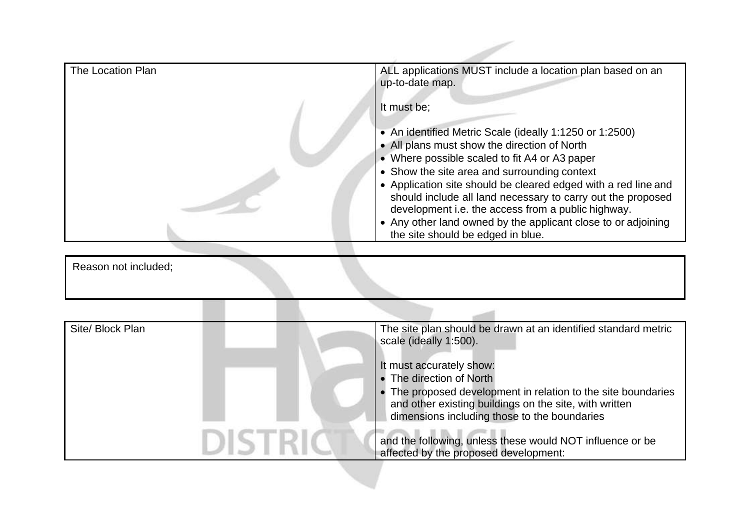| ALL applications MUST include a location plan based on an<br>up-to-date map.                                                                                                                                                                                                                                                                                                                                                                                                                          |
|-------------------------------------------------------------------------------------------------------------------------------------------------------------------------------------------------------------------------------------------------------------------------------------------------------------------------------------------------------------------------------------------------------------------------------------------------------------------------------------------------------|
| It must be;                                                                                                                                                                                                                                                                                                                                                                                                                                                                                           |
| • An identified Metric Scale (ideally 1:1250 or 1:2500)<br>• All plans must show the direction of North<br>• Where possible scaled to fit A4 or A3 paper<br>• Show the site area and surrounding context<br>• Application site should be cleared edged with a red line and<br>should include all land necessary to carry out the proposed<br>development i.e. the access from a public highway.<br>• Any other land owned by the applicant close to or adjoining<br>the site should be edged in blue. |
|                                                                                                                                                                                                                                                                                                                                                                                                                                                                                                       |
|                                                                                                                                                                                                                                                                                                                                                                                                                                                                                                       |
|                                                                                                                                                                                                                                                                                                                                                                                                                                                                                                       |
| The site plan should be drawn at an identified standard metric<br>scale (ideally 1:500).<br>It must accurately show:<br>• The direction of North<br>• The proposed development in relation to the site boundaries<br>and other existing buildings on the site, with written<br>dimensions including those to the boundaries                                                                                                                                                                           |
| and the following, unless these would NOT influence or be                                                                                                                                                                                                                                                                                                                                                                                                                                             |
|                                                                                                                                                                                                                                                                                                                                                                                                                                                                                                       |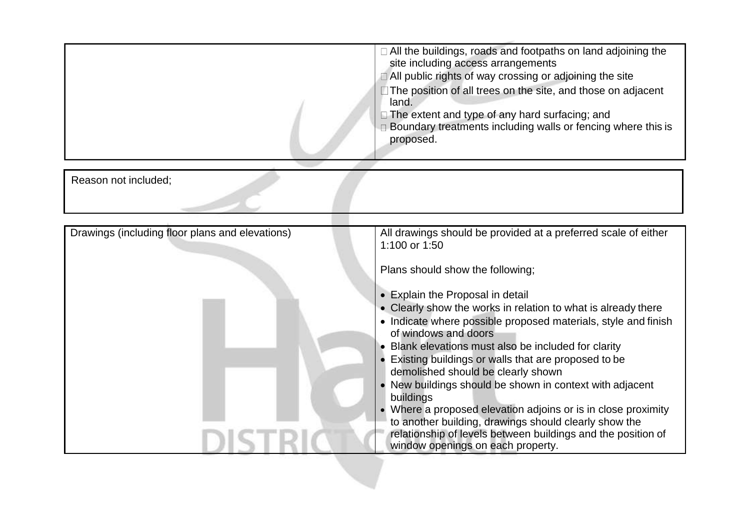|                                                 | □ All the buildings, roads and footpaths on land adjoining the<br>site including access arrangements<br>□ All public rights of way crossing or adjoining the site<br>□ The position of all trees on the site, and those on adjacent<br>land.<br>□ The extent and type of any hard surfacing; and<br>$\Box$ Boundary treatments including walls or fencing where this is<br>proposed.                                                                                                                                                                                                                                                                                                                                                                                              |
|-------------------------------------------------|-----------------------------------------------------------------------------------------------------------------------------------------------------------------------------------------------------------------------------------------------------------------------------------------------------------------------------------------------------------------------------------------------------------------------------------------------------------------------------------------------------------------------------------------------------------------------------------------------------------------------------------------------------------------------------------------------------------------------------------------------------------------------------------|
| Reason not included;                            |                                                                                                                                                                                                                                                                                                                                                                                                                                                                                                                                                                                                                                                                                                                                                                                   |
| Drawings (including floor plans and elevations) | All drawings should be provided at a preferred scale of either<br>1:100 or 1:50<br>Plans should show the following;<br>• Explain the Proposal in detail<br>• Clearly show the works in relation to what is already there<br>• Indicate where possible proposed materials, style and finish<br>of windows and doors<br>• Blank elevations must also be included for clarity<br>• Existing buildings or walls that are proposed to be<br>demolished should be clearly shown<br>• New buildings should be shown in context with adjacent<br>buildings<br>• Where a proposed elevation adjoins or is in close proximity<br>to another building, drawings should clearly show the<br>relationship of levels between buildings and the position of<br>window openings on each property. |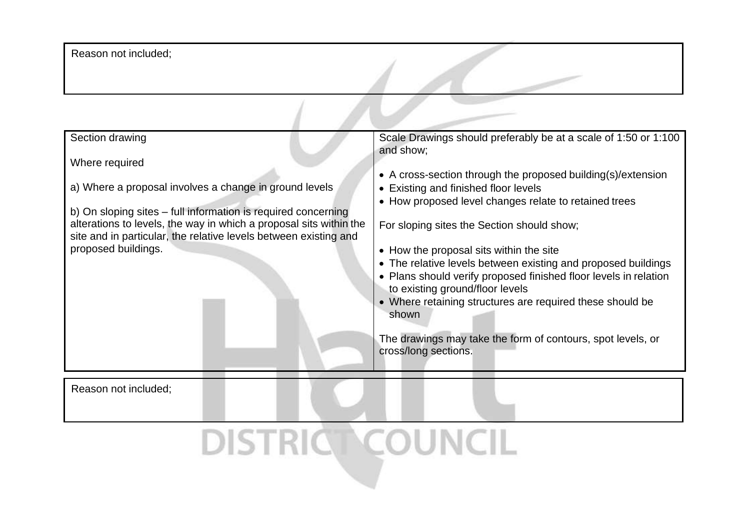Reason not included;

| Section drawing                                                                                                                                                                                                                                                                                            | Scale Drawings should preferably be at a scale of 1:50 or 1:100                                                                                                                                                                                                                                                                                                                                                                                                                                                                                                                                          |
|------------------------------------------------------------------------------------------------------------------------------------------------------------------------------------------------------------------------------------------------------------------------------------------------------------|----------------------------------------------------------------------------------------------------------------------------------------------------------------------------------------------------------------------------------------------------------------------------------------------------------------------------------------------------------------------------------------------------------------------------------------------------------------------------------------------------------------------------------------------------------------------------------------------------------|
| Where required<br>a) Where a proposal involves a change in ground levels<br>b) On sloping sites – full information is required concerning<br>alterations to levels, the way in which a proposal sits within the<br>site and in particular, the relative levels between existing and<br>proposed buildings. | and show;<br>• A cross-section through the proposed building(s)/extension<br>• Existing and finished floor levels<br>• How proposed level changes relate to retained trees<br>For sloping sites the Section should show;<br>• How the proposal sits within the site<br>• The relative levels between existing and proposed buildings<br>• Plans should verify proposed finished floor levels in relation<br>to existing ground/floor levels<br>• Where retaining structures are required these should be<br>shown<br>The drawings may take the form of contours, spot levels, or<br>cross/long sections. |
| Reason not included;                                                                                                                                                                                                                                                                                       |                                                                                                                                                                                                                                                                                                                                                                                                                                                                                                                                                                                                          |
|                                                                                                                                                                                                                                                                                                            |                                                                                                                                                                                                                                                                                                                                                                                                                                                                                                                                                                                                          |

DISTRICT COUNCIL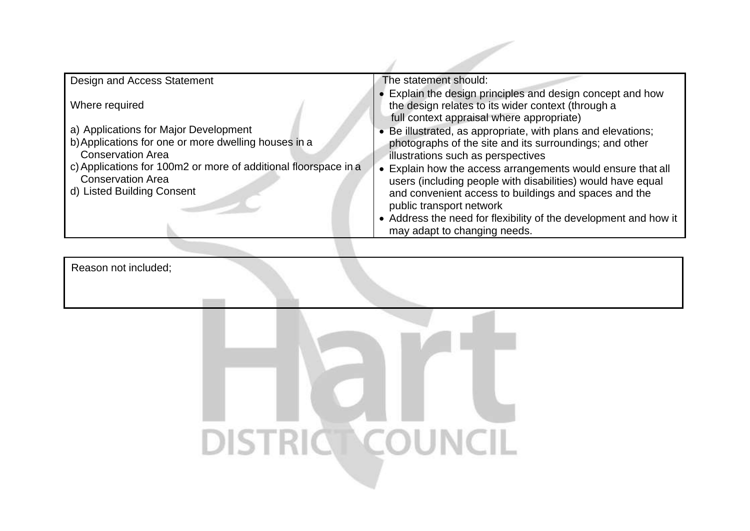| Design and Access Statement                                     | The statement should:                                                                                                                                         |
|-----------------------------------------------------------------|---------------------------------------------------------------------------------------------------------------------------------------------------------------|
| Where required                                                  | • Explain the design principles and design concept and how<br>the design relates to its wider context (through a<br>full context appraisal where appropriate) |
| a) Applications for Major Development                           | • Be illustrated, as appropriate, with plans and elevations;                                                                                                  |
| b) Applications for one or more dwelling houses in a            | photographs of the site and its surroundings; and other                                                                                                       |
| <b>Conservation Area</b>                                        | illustrations such as perspectives                                                                                                                            |
| c) Applications for 100m2 or more of additional floorspace in a | • Explain how the access arrangements would ensure that all                                                                                                   |
| <b>Conservation Area</b>                                        | users (including people with disabilities) would have equal                                                                                                   |
| d) Listed Building Consent                                      | and convenient access to buildings and spaces and the<br>public transport network                                                                             |
|                                                                 | • Address the need for flexibility of the development and how it                                                                                              |
|                                                                 | may adapt to changing needs.                                                                                                                                  |

Reason not included;

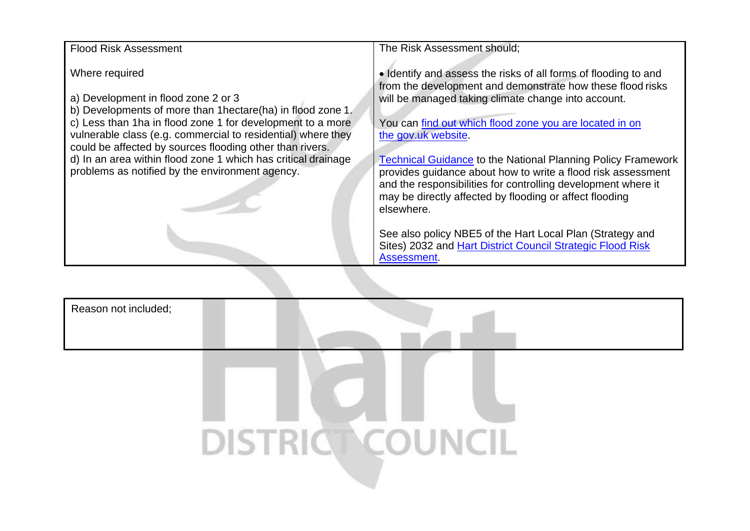| <b>Flood Risk Assessment</b>                                                                                                                                                                                                                                                                                                                                                                                                        | The Risk Assessment should;                                                                                                                                                                                                                                                                                                                                                                                                                                                                                                                             |
|-------------------------------------------------------------------------------------------------------------------------------------------------------------------------------------------------------------------------------------------------------------------------------------------------------------------------------------------------------------------------------------------------------------------------------------|---------------------------------------------------------------------------------------------------------------------------------------------------------------------------------------------------------------------------------------------------------------------------------------------------------------------------------------------------------------------------------------------------------------------------------------------------------------------------------------------------------------------------------------------------------|
| Where required<br>a) Development in flood zone 2 or 3<br>b) Developments of more than 1 hectare (ha) in flood zone 1.<br>c) Less than 1ha in flood zone 1 for development to a more<br>vulnerable class (e.g. commercial to residential) where they<br>could be affected by sources flooding other than rivers.<br>d) In an area within flood zone 1 which has critical drainage<br>problems as notified by the environment agency. | • Identify and assess the risks of all forms of flooding to and<br>from the development and demonstrate how these flood risks<br>will be managed taking climate change into account.<br>You can find out which flood zone you are located in on<br>the gov.uk website.<br><b>Technical Guidance to the National Planning Policy Framework</b><br>provides guidance about how to write a flood risk assessment<br>and the responsibilities for controlling development where it<br>may be directly affected by flooding or affect flooding<br>elsewhere. |
|                                                                                                                                                                                                                                                                                                                                                                                                                                     | See also policy NBE5 of the Hart Local Plan (Strategy and<br>Sites) 2032 and Hart District Council Strategic Flood Risk<br>Assessment.                                                                                                                                                                                                                                                                                                                                                                                                                  |

Reason not included;

## DISTRIC COUNCIL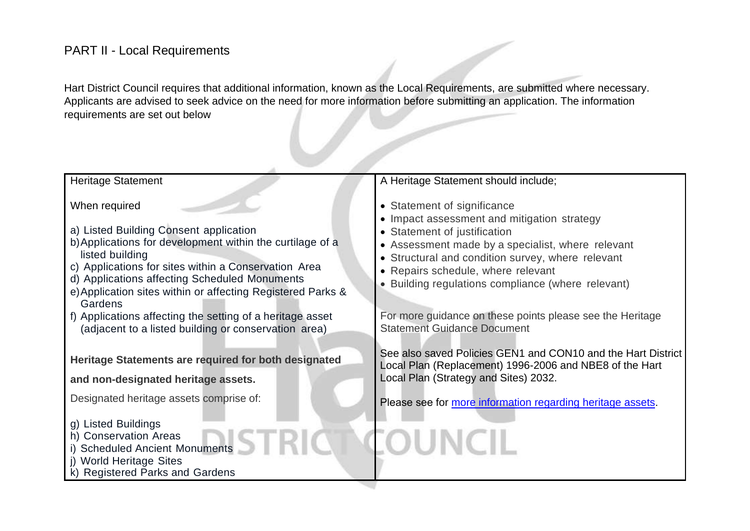## PART II - Local Requirements

Hart District Council requires that additional information, known as the Local Requirements, are submitted where necessary. Applicants are advised to seek advice on the need for more information before submitting an application. The information requirements are set out below

| <b>Heritage Statement</b>                                                                                                                                                                                                                                                                                                                                                                                                                       | A Heritage Statement should include;                                                                                                                                                                                                                                                                                                                                                                              |
|-------------------------------------------------------------------------------------------------------------------------------------------------------------------------------------------------------------------------------------------------------------------------------------------------------------------------------------------------------------------------------------------------------------------------------------------------|-------------------------------------------------------------------------------------------------------------------------------------------------------------------------------------------------------------------------------------------------------------------------------------------------------------------------------------------------------------------------------------------------------------------|
| When required<br>a) Listed Building Consent application<br>b) Applications for development within the curtilage of a<br>listed building<br>c) Applications for sites within a Conservation Area<br>d) Applications affecting Scheduled Monuments<br>e) Application sites within or affecting Registered Parks &<br>Gardens<br>f) Applications affecting the setting of a heritage asset<br>(adjacent to a listed building or conservation area) | • Statement of significance<br>• Impact assessment and mitigation strategy<br>• Statement of justification<br>• Assessment made by a specialist, where relevant<br>• Structural and condition survey, where relevant<br>• Repairs schedule, where relevant<br>Building regulations compliance (where relevant)<br>For more guidance on these points please see the Heritage<br><b>Statement Guidance Document</b> |
| Heritage Statements are required for both designated<br>and non-designated heritage assets.<br>Designated heritage assets comprise of:<br>g) Listed Buildings<br>h) Conservation Areas<br>i) Scheduled Ancient Monuments<br>j) World Heritage Sites<br>k) Registered Parks and Gardens                                                                                                                                                          | See also saved Policies GEN1 and CON10 and the Hart District<br>Local Plan (Replacement) 1996-2006 and NBE8 of the Hart<br>Local Plan (Strategy and Sites) 2032.<br>Please see for more information regarding heritage assets.<br><b>FOUNCIL</b>                                                                                                                                                                  |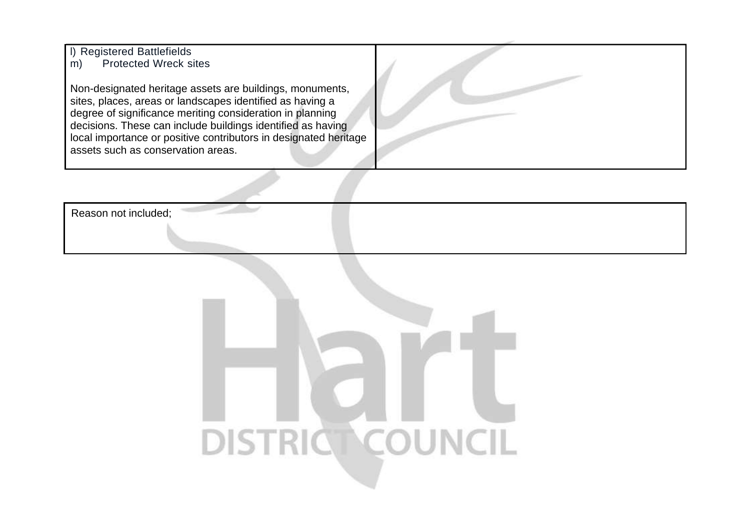l) Registered Battlefields m) Protected Wreck sites

 degree of significance meriting consideration in planning Non-designated heritage assets are buildings, monuments, sites, places, areas or landscapes identified as having a decisions. These can include buildings identified as having local importance or positive contributors in designated heritage assets such as conservation areas.

Reason not included;

## DISTRICT COUNCIL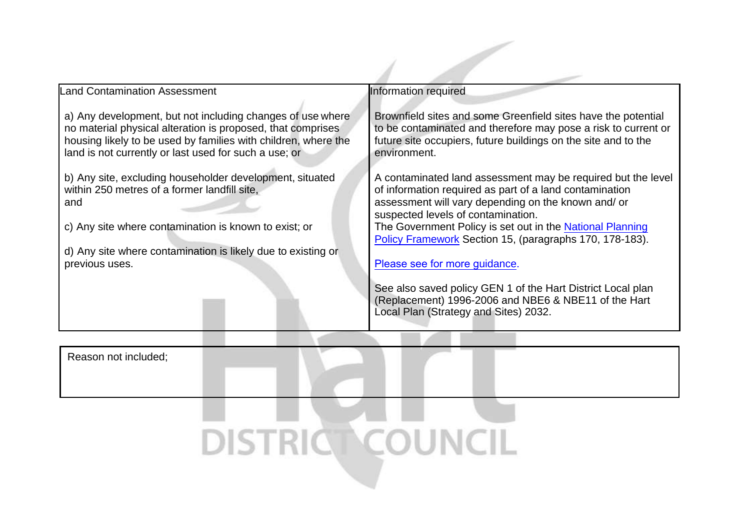| <b>Land Contamination Assessment</b>                                                                                                                                                                                                                       | Information required                                                                                                                                                                                                                                                                                                                                                                                                                                                                                                                          |
|------------------------------------------------------------------------------------------------------------------------------------------------------------------------------------------------------------------------------------------------------------|-----------------------------------------------------------------------------------------------------------------------------------------------------------------------------------------------------------------------------------------------------------------------------------------------------------------------------------------------------------------------------------------------------------------------------------------------------------------------------------------------------------------------------------------------|
| a) Any development, but not including changes of use where<br>no material physical alteration is proposed, that comprises<br>housing likely to be used by families with children, where the<br>land is not currently or last used for such a use; or       | Brownfield sites and some Greenfield sites have the potential<br>to be contaminated and therefore may pose a risk to current or<br>future site occupiers, future buildings on the site and to the<br>environment.                                                                                                                                                                                                                                                                                                                             |
| b) Any site, excluding householder development, situated<br>within 250 metres of a former landfill site,<br>and<br>c) Any site where contamination is known to exist; or<br>d) Any site where contamination is likely due to existing or<br>previous uses. | A contaminated land assessment may be required but the level<br>of information required as part of a land contamination<br>assessment will vary depending on the known and/ or<br>suspected levels of contamination.<br>The Government Policy is set out in the National Planning<br>Policy Framework Section 15, (paragraphs 170, 178-183).<br>Please see for more guidance.<br>See also saved policy GEN 1 of the Hart District Local plan<br>(Replacement) 1996-2006 and NBE6 & NBE11 of the Hart<br>Local Plan (Strategy and Sites) 2032. |

DISTRICT COUNCIL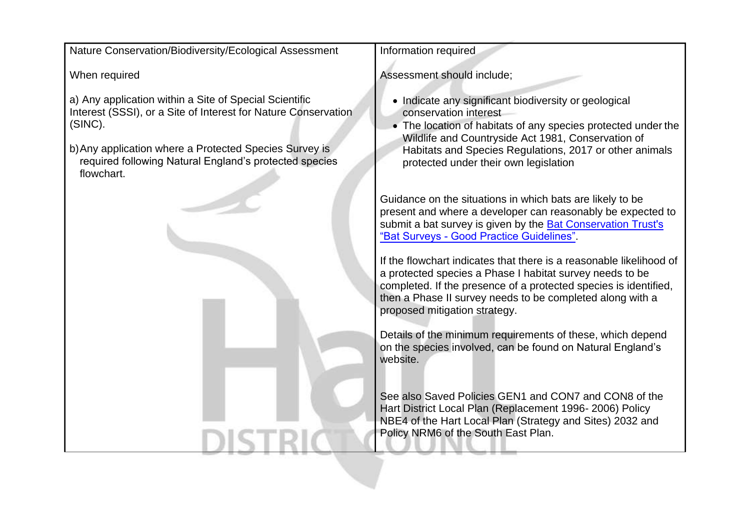Guidance on the situations in which bats are likely to be present and where a developer can reasonably be expected to Nature Conservation/Biodiversity/Ecological Assessment When required a) Any application within a Site of Special Scientific Interest (SSSI), or a Site of Interest for Nature Conservation (SINC). b)Any application where a Protected Species Survey is required following Natural England's protected species flowchart. Information required Assessment should include; • Indicate any significant biodiversity or geological conservation interest • The location of habitats of any species protected under the Wildlife and Countryside Act 1981, Conservation of Habitats and Species Regulations, 2017 or other animals protected under their own legislation [submit a bat survey is given by the Bat Conservation Trust](https://www.bats.org.uk/news/2020/02/bcts-bat-surveys-for-professional-ecologists-good-practice-guidelines-consultation)'s "Bat Surveys - Good Practice Guidelines". If the flowchart indicates that there is a reasonable likelihood of a protected species a Phase I habitat survey needs to be completed. If the presence of a protected species is identified, then a Phase II survey needs to be completed along with a proposed mitigation strategy. Details of the minimum requirements of these, which depend on the species involved, can be found on Natural England's website. See also Saved Policies GEN1 and CON7 and CON8 of the Hart District Local Plan (Replacement 1996- 2006) Policy NBE4 of the Hart Local Plan (Strategy and Sites) 2032 and Policy NRM6 of the South East Plan.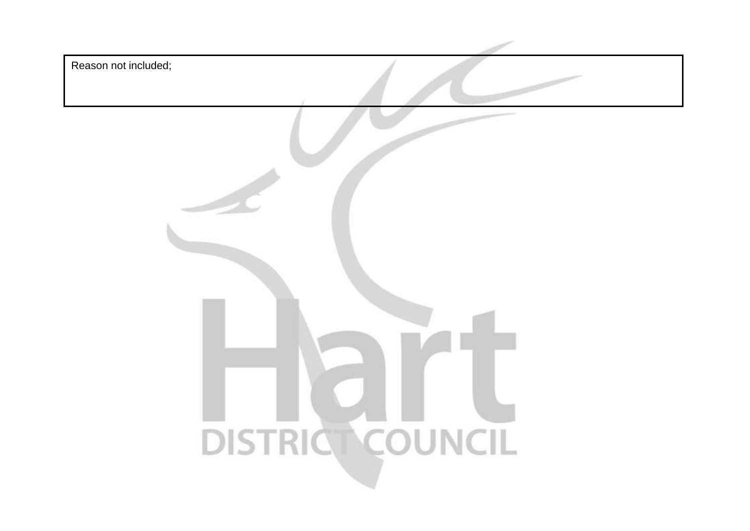| Reason not included; |
|----------------------|
|                      |
|                      |
|                      |
|                      |
|                      |
| DISTRIC COUNCIL      |
|                      |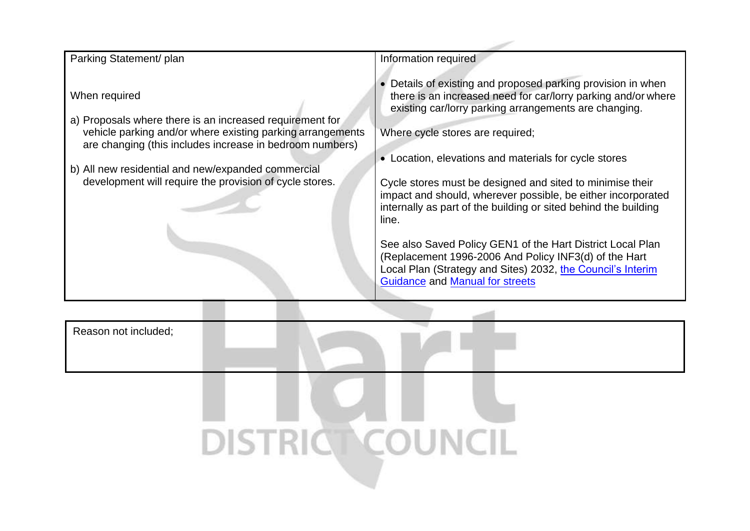| Parking Statement/ plan                                                                                                                                                                             | Information required                                                                                                                                                                                                                                                                |
|-----------------------------------------------------------------------------------------------------------------------------------------------------------------------------------------------------|-------------------------------------------------------------------------------------------------------------------------------------------------------------------------------------------------------------------------------------------------------------------------------------|
| When required<br>a) Proposals where there is an increased requirement for<br>vehicle parking and/or where existing parking arrangements<br>are changing (this includes increase in bedroom numbers) | • Details of existing and proposed parking provision in when<br>there is an increased need for car/lorry parking and/or where<br>existing car/lorry parking arrangements are changing.<br>Where cycle stores are required;<br>• Location, elevations and materials for cycle stores |
| b) All new residential and new/expanded commercial                                                                                                                                                  |                                                                                                                                                                                                                                                                                     |
| development will require the provision of cycle stores.                                                                                                                                             | Cycle stores must be designed and sited to minimise their<br>impact and should, wherever possible, be either incorporated<br>internally as part of the building or sited behind the building<br>line.                                                                               |
|                                                                                                                                                                                                     | See also Saved Policy GEN1 of the Hart District Local Plan<br>(Replacement 1996-2006 And Policy INF3(d) of the Hart<br>Local Plan (Strategy and Sites) 2032, the Council's Interim<br><b>Guidance and Manual for streets</b>                                                        |

Reason not included;

DISTRIC COUNCIL